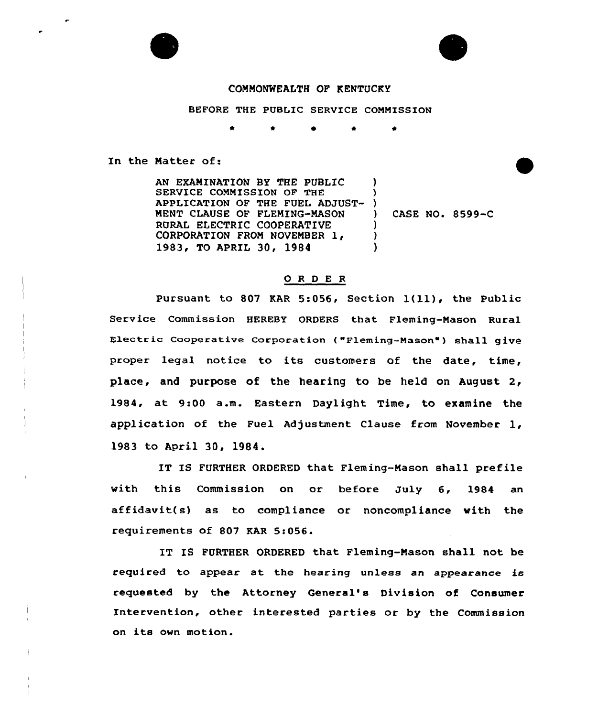



## COMMONWEALTH OF KENTUCKY

BEFORE THE PUBLIC SERVICE COMMISSION

\* \*

In the Matter of:

AN EXAMINATION BY THE PUBLIC SERVICE COMMISSION OF THE APPLICATION OF THE FUEL ADJUST-MENT CLAUSE OF FLEMING-MASON RURAL ELECTRIC COOPERATIVE CORPORATION FROM NOVEMBER 1, 1983, To APRIL 30, 1984 ) )  $\left\{ \begin{array}{c} 1 \\ 1 \end{array} \right\}$ ) CASE NO. 8599-C ) ) )

## 0 <sup>R</sup> <sup>D</sup> E <sup>R</sup>

Pursuant to <sup>807</sup> KAR 5:056, Section l(ll), the Public Service Commission HEREBY ORDERS that. Fleming-Mason Rural Electric Cooperative Corporation ("Fleming-Mason") shall give proper legal notice to its customers of the date, time, place, and purpose of the hearing to be held on August 2, 1984, at 9:00 a.m. Eastern Daylight Time, to examine the application of the Fuel Adjustment Clause from November 1, 1983 to April 30, 1984.

IT IS FURTHER ORDERED that Fleming-Mason shall prefile with this Commission on or before July 6, 1984 an affidavit(s) as to compliance or noncompliance with the requirements of 807 KAR 5:056.

IT IS FURTHER ORDERED that Fleming-Mason shall not be required to appear at the hearing unless an appearance is requested by the Attorney General's Division of Consumer Intervention, other interested parties or by the Commission on its own motion.